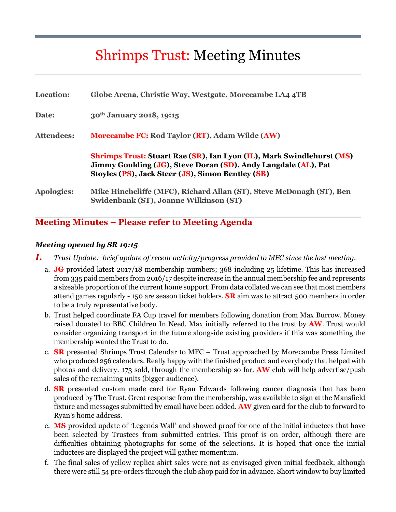# Shrimps Trust: Meeting Minutes

| <b>Location:</b>  | Globe Arena, Christie Way, Westgate, Morecambe LA4 4TB                                                                                                                                              |
|-------------------|-----------------------------------------------------------------------------------------------------------------------------------------------------------------------------------------------------|
| Date:             | 30 <sup>th</sup> January 2018, 19:15                                                                                                                                                                |
| <b>Attendees:</b> | <b>Morecambe FC: Rod Taylor (RT), Adam Wilde (AW)</b>                                                                                                                                               |
|                   | <b>Shrimps Trust: Stuart Rae (SR), Ian Lyon (IL), Mark Swindlehurst (MS)</b><br>Jimmy Goulding (JG), Steve Doran (SD), Andy Langdale (AL), Pat<br>Stoyles (PS), Jack Steer (JS), Simon Bentley (SB) |
| <b>Apologies:</b> | Mike Hinchcliffe (MFC), Richard Allan (ST), Steve McDonagh (ST), Ben<br>Swidenbank (ST), Joanne Wilkinson (ST)                                                                                      |

# **Meeting Minutes – Please refer to Meeting Agenda**

#### *Meeting opened by SR 19:15*

- *I. Trust Update: brief update of recent activity/progress provided to MFC since the last meeting.* 
	- a. **JG** provided latest 2017/18 membership numbers; 368 including 25 lifetime. This has increased from 335 paid members from 2016/17 despite increase in the annual membership fee and represents a sizeable proportion of the current home support. From data collated we can see that most members attend games regularly - 150 are season ticket holders. **SR** aim was to attract 500 members in order to be a truly representative body.
	- b. Trust helped coordinate FA Cup travel for members following donation from Max Burrow. Money raised donated to BBC Children In Need. Max initially referred to the trust by **AW**. Trust would consider organizing transport in the future alongside existing providers if this was something the membership wanted the Trust to do.
	- c. **SR** presented Shrimps Trust Calendar to MFC Trust approached by Morecambe Press Limited who produced 256 calendars. Really happy with the finished product and everybody that helped with photos and delivery. 173 sold, through the membership so far. **AW** club will help advertise/push sales of the remaining units (bigger audience).
	- d. **SR** presented custom made card for Ryan Edwards following cancer diagnosis that has been produced by The Trust. Great response from the membership, was available to sign at the Mansfield fixture and messages submitted by email have been added. **AW** given card for the club to forward to Ryan's home address.
	- e. **MS** provided update of 'Legends Wall' and showed proof for one of the initial inductees that have been selected by Trustees from submitted entries. This proof is on order, although there are difficulties obtaining photographs for some of the selections. It is hoped that once the initial inductees are displayed the project will gather momentum.
	- f. The final sales of yellow replica shirt sales were not as envisaged given initial feedback, although there were still 54 pre-orders through the club shop paid for in advance. Short window to buy limited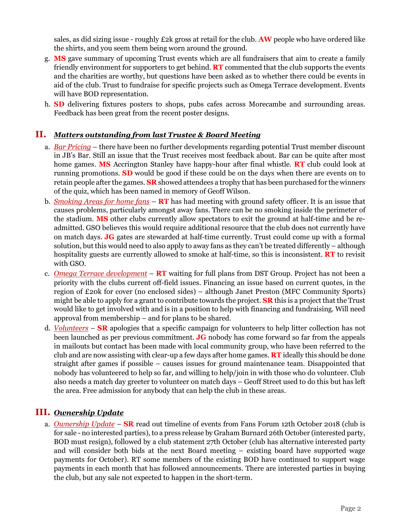sales, as did sizing issue - roughly £2k gross at retail for the club. **AW** people who have ordered like the shirts, and you seem them being worn around the ground.

- g. **MS** gave summary of upcoming Trust events which are all fundraisers that aim to create a family friendly environment for supporters to get behind. **RT** commented that the club supports the events and the charities are worthy, but questions have been asked as to whether there could be events in aid of the club. Trust to fundraise for specific projects such as Omega Terrace development. Events will have BOD representation.
- h. **SD** delivering fixtures posters to shops, pubs cafes across Morecambe and surrounding areas. Feedback has been great from the recent poster designs.

### **II.** *Matters outstanding from last Trustee & Board Meeting*

- a. *Bar Pricing* there have been no further developments regarding potential Trust member discount in JB's Bar. Still an issue that the Trust receives most feedback about. Bar can be quite after most home games. **MS** Accrington Stanley have happy-hour after final whistle. **RT** club could look at running promotions. **SD** would be good if these could be on the days when there are events on to retain people after the games. **SR** showed attendees a trophy that has been purchased for the winners of the quiz, which has been named in memory of Geoff Wilson.
- b. *Smoking Areas for home fans* **RT** has had meeting with ground safety officer. It is an issue that causes problems, particularly amongst away fans. There can be no smoking inside the perimeter of the stadium. **MS** other clubs currently allow spectators to exit the ground at half-time and be readmitted. GSO believes this would require additional resource that the club does not currently have on match days. **JG** gates are stewarded at half-time currently. Trust could come up with a formal solution, but this would need to also apply to away fans as they can't be treated differently – although hospitality guests are currently allowed to smoke at half-time, so this is inconsistent. **RT** to revisit with GSO.
- c. *Omega Terrace development* **RT** waiting for full plans from DST Group. Project has not been a priority with the clubs current off-field issues. Financing an issue based on current quotes, in the region of £20k for cover (no enclosed sides) – although Janet Preston (MFC Community Sports) might be able to apply for a grant to contribute towards the project. **SR** this is a project that the Trust would like to get involved with and is in a position to help with financing and fundraising. Will need approval from membership – and for plans to be shared.
- d. *Volunteers* **SR** apologies that a specific campaign for volunteers to help litter collection has not been launched as per previous commitment. **JG** nobody has come forward so far from the appeals in mailouts but contact has been made with local community group, who have been referred to the club and are now assisting with clear-up a few days after home games. **RT** ideally this should be done straight after games if possible – causes issues for ground maintenance team. Disappointed that nobody has volunteered to help so far, and willing to help/join in with those who do volunteer. Club also needs a match day greeter to volunteer on match days – Geoff Street used to do this but has left the area. Free admission for anybody that can help the club in these areas.

#### **III.** *Ownership Update*

a. *Ownership Update* – **SR** read out timeline of events from Fans Forum 12th October 2018 (club is for sale - no interested parties), to a press release by Graham Burnard 26th October (interested party, BOD must resign), followed by a club statement 27th October (club has alternative interested party and will consider both bids at the next Board meeting – existing board have supported wage payments for October). RT some members of the existing BOD have continued to support wage payments in each month that has followed announcements. There are interested parties in buying the club, but any sale not expected to happen in the short-term.